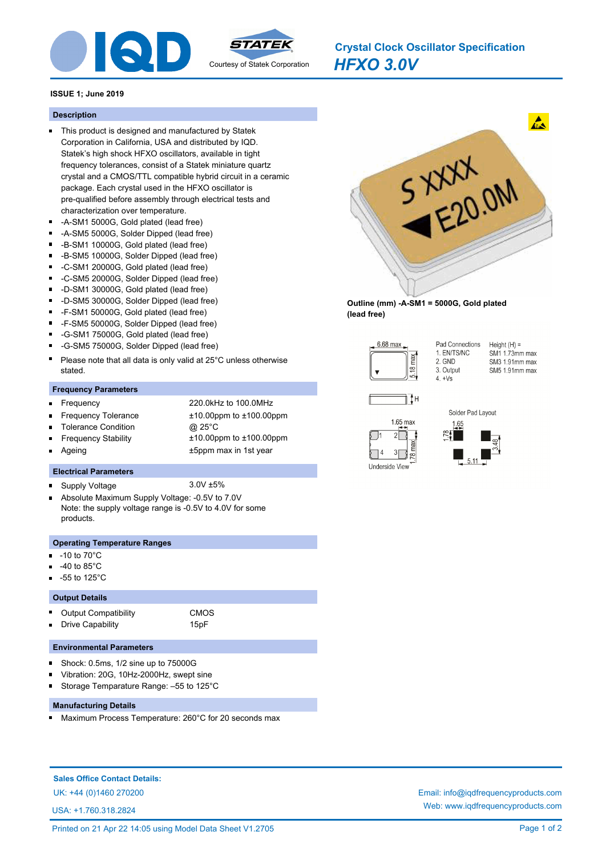

*HFXO 3.0V* **Crystal Clock Oscillator Specification**

# **ISSUE 1; June 2019**

#### **Description**

- This product is designed and manufactured by Statek Corporation in California, USA and distributed by IQD. Statek's high shock HFXO oscillators, available in tight frequency tolerances, consist of a Statek miniature quartz crystal and a CMOS/TTL compatible hybrid circuit in a ceramic package. Each crystal used in the HFXO oscillator is pre-qualified before assembly through electrical tests and characterization over temperature.
- -A-SM1 5000G, Gold plated (lead free)
- -A-SM5 5000G, Solder Dipped (lead free)
- -B-SM1 10000G, Gold plated (lead free)  $\blacksquare$
- $\blacksquare$ -B-SM5 10000G, Solder Dipped (lead free)
- $\blacksquare$ -C-SM1 20000G, Gold plated (lead free)
- -C-SM5 20000G, Solder Dipped (lead free)  $\blacksquare$
- -D-SM1 30000G, Gold plated (lead free)
- -D-SM5 30000G, Solder Dipped (lead free)
- $\blacksquare$ -F-SM1 50000G, Gold plated (lead free)
- $\blacksquare$ -F-SM5 50000G, Solder Dipped (lead free)
- -G-SM1 75000G, Gold plated (lead free)
- $\blacksquare$ -G-SM5 75000G, Solder Dipped (lead free)
- Please note that all data is only valid at 25°C unless otherwise stated.

#### **Frequency Parameters**

Ξ

 $\blacksquare$ 

Ē

 $\blacksquare$ 

- Frequency 220.0kHz to 100.0MHz
- Frequency Tolerance ±10.00ppm to ±100.00ppm
- Tolerance Condition @ 25°C
- Frequency Stability ±10.00ppm to ±100.00ppm
- Ageing the state of the state of the state of the state of the state of the state of the state of the state of the state of the state of the state of the state of the state of the state of the state of the state of the sta

## **Electrical Parameters**

- Supply Voltage 3.0V ±5%
- Absolute Maximum Supply Voltage: -0.5V to 7.0V  $\blacksquare$ Note: the supply voltage range is -0.5V to 4.0V for some products.

### **Operating Temperature Ranges**

- -10 to 70°C
- -40 to 85°C
- -55 to 125°C

#### **Output Details**

Output Compatibility **CMOS** Drive Capability 15pF

# **Environmental Parameters**

- $\blacksquare$ Shock: 0.5ms, 1/2 sine up to 75000G
- Vibration: 20G, 10Hz-2000Hz, swept sine
- Storage Temparature Range: –55 to 125°C Ē

## **Manufacturing Details**

Maximum Process Temperature: 260°C for 20 seconds max

**Sales Office Contact Details:**

USA: +1.760.318.2824



**Outline (mm) -A-SM1 = 5000G, Gold plated (lead free)**



Pad Connections  $Height(H) =$ 1. EN/TS/NC SM1 1.73mm max 2. GND SM3 1.91mm max 3. Output SM5 1.91mm max  $4 +\sqrt{8}$ 







UK: +44 (0)1460 270200 Email: info@iqdfrequencyproducts.com Web: www.iqdfrequencyproducts.com